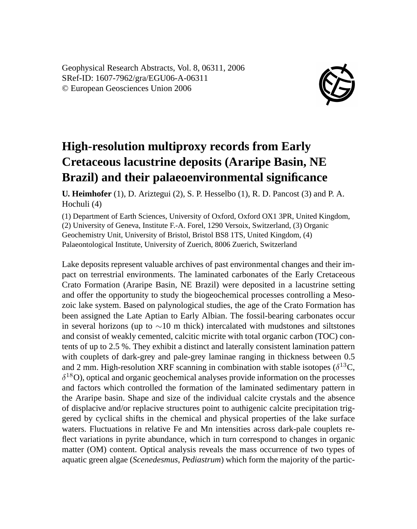Geophysical Research Abstracts, Vol. 8, 06311, 2006 SRef-ID: 1607-7962/gra/EGU06-A-06311 © European Geosciences Union 2006



## **High-resolution multiproxy records from Early Cretaceous lacustrine deposits (Araripe Basin, NE Brazil) and their palaeoenvironmental significance**

**U. Heimhofer** (1), D. Ariztegui (2), S. P. Hesselbo (1), R. D. Pancost (3) and P. A. Hochuli (4)

(1) Department of Earth Sciences, University of Oxford, Oxford OX1 3PR, United Kingdom, (2) University of Geneva, Institute F.-A. Forel, 1290 Versoix, Switzerland, (3) Organic Geochemistry Unit, University of Bristol, Bristol BS8 1TS, United Kingdom, (4) Palaeontological Institute, University of Zuerich, 8006 Zuerich, Switzerland

Lake deposits represent valuable archives of past environmental changes and their impact on terrestrial environments. The laminated carbonates of the Early Cretaceous Crato Formation (Araripe Basin, NE Brazil) were deposited in a lacustrine setting and offer the opportunity to study the biogeochemical processes controlling a Mesozoic lake system. Based on palynological studies, the age of the Crato Formation has been assigned the Late Aptian to Early Albian. The fossil-bearing carbonates occur in several horizons (up to  $\sim$ 10 m thick) intercalated with mudstones and siltstones and consist of weakly cemented, calcitic micrite with total organic carbon (TOC) contents of up to 2.5 %. They exhibit a distinct and laterally consistent lamination pattern with couplets of dark-grey and pale-grey laminae ranging in thickness between 0.5 and 2 mm. High-resolution XRF scanning in combination with stable isotopes ( $\delta^{13}C$ ,  $\delta^{18}$ O), optical and organic geochemical analyses provide information on the processes and factors which controlled the formation of the laminated sedimentary pattern in the Araripe basin. Shape and size of the individual calcite crystals and the absence of displacive and/or replacive structures point to authigenic calcite precipitation triggered by cyclical shifts in the chemical and physical properties of the lake surface waters. Fluctuations in relative Fe and Mn intensities across dark-pale couplets reflect variations in pyrite abundance, which in turn correspond to changes in organic matter (OM) content. Optical analysis reveals the mass occurrence of two types of aquatic green algae (*Scenedesmus*, *Pediastrum*) which form the majority of the partic-